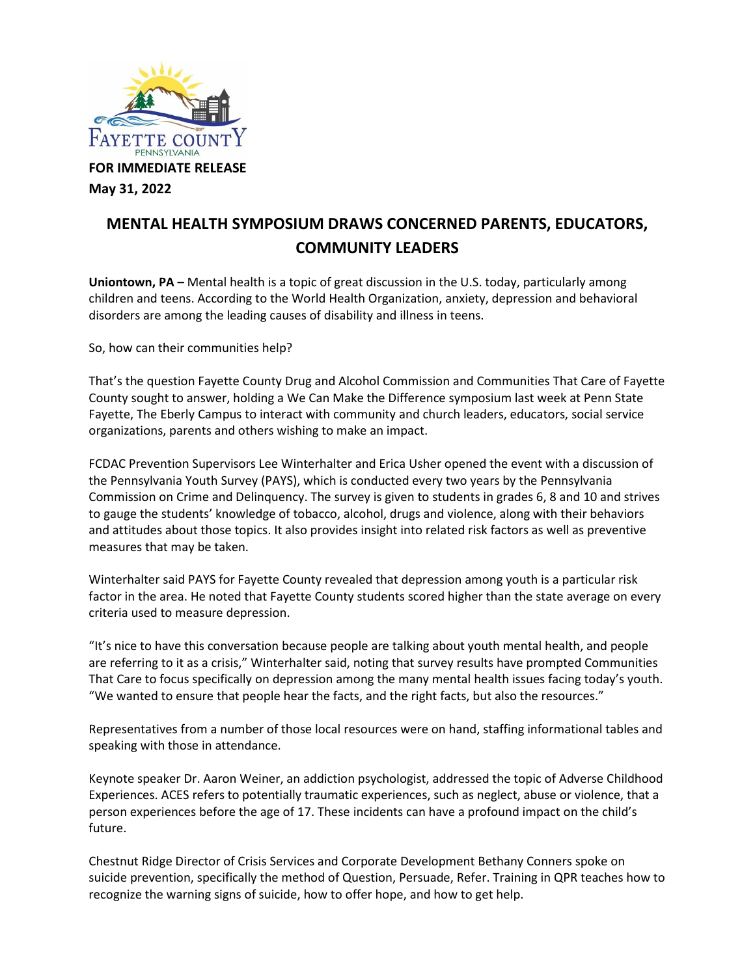

**May 31, 2022**

## **MENTAL HEALTH SYMPOSIUM DRAWS CONCERNED PARENTS, EDUCATORS, COMMUNITY LEADERS**

**Uniontown, PA –** Mental health is a topic of great discussion in the U.S. today, particularly among children and teens. According to the World Health Organization, anxiety, depression and behavioral disorders are among the leading causes of disability and illness in teens.

So, how can their communities help?

That's the question Fayette County Drug and Alcohol Commission and Communities That Care of Fayette County sought to answer, holding a We Can Make the Difference symposium last week at Penn State Fayette, The Eberly Campus to interact with community and church leaders, educators, social service organizations, parents and others wishing to make an impact.

FCDAC Prevention Supervisors Lee Winterhalter and Erica Usher opened the event with a discussion of the Pennsylvania Youth Survey (PAYS), which is conducted every two years by the Pennsylvania Commission on Crime and Delinquency. The survey is given to students in grades 6, 8 and 10 and strives to gauge the students' knowledge of tobacco, alcohol, drugs and violence, along with their behaviors and attitudes about those topics. It also provides insight into related risk factors as well as preventive measures that may be taken.

Winterhalter said PAYS for Fayette County revealed that depression among youth is a particular risk factor in the area. He noted that Fayette County students scored higher than the state average on every criteria used to measure depression.

"It's nice to have this conversation because people are talking about youth mental health, and people are referring to it as a crisis," Winterhalter said, noting that survey results have prompted Communities That Care to focus specifically on depression among the many mental health issues facing today's youth. "We wanted to ensure that people hear the facts, and the right facts, but also the resources."

Representatives from a number of those local resources were on hand, staffing informational tables and speaking with those in attendance.

Keynote speaker Dr. Aaron Weiner, an addiction psychologist, addressed the topic of Adverse Childhood Experiences. ACES refers to potentially traumatic experiences, such as neglect, abuse or violence, that a person experiences before the age of 17. These incidents can have a profound impact on the child's future.

Chestnut Ridge Director of Crisis Services and Corporate Development Bethany Conners spoke on suicide prevention, specifically the method of Question, Persuade, Refer. Training in QPR teaches how to recognize the warning signs of suicide, how to offer hope, and how to get help.